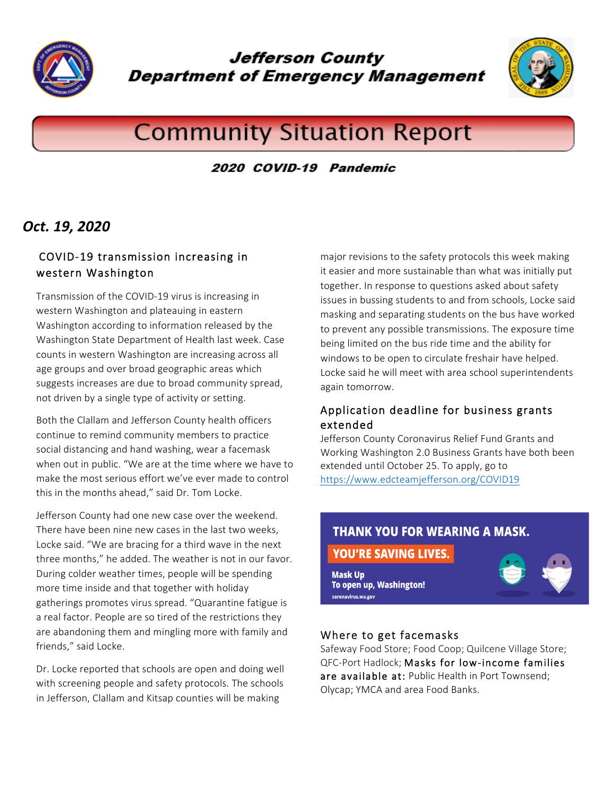

**Jefferson County Department of Emergency Management** 



# **Community Situation Report**

2020 COVID-19 Pandemic

# *Oct. 19, 2020*

# COVID-19 transmission increasing in western Washington

Transmission of the COVID-19 virus is increasing in western Washington and plateauing in eastern Washington according to information released by the Washington State Department of Health last week. Case counts in western Washington are increasing across all age groups and over broad geographic areas which suggests increases are due to broad community spread, not driven by a single type of activity or setting.

Both the Clallam and Jefferson County health officers continue to remind community members to practice social distancing and hand washing, wear a facemask when out in public. "We are at the time where we have to make the most serious effort we've ever made to control this in the months ahead," said Dr. Tom Locke.

Jefferson County had one new case over the weekend. There have been nine new cases in the last two weeks, Locke said. "We are bracing for a third wave in the next three months," he added. The weather is not in our favor. During colder weather times, people will be spending more time inside and that together with holiday gatherings promotes virus spread. "Quarantine fatigue is a real factor. People are so tired of the restrictions they are abandoning them and mingling more with family and friends," said Locke.

Dr. Locke reported that schools are open and doing well with screening people and safety protocols. The schools in Jefferson, Clallam and Kitsap counties will be making

major revisions to the safety protocols this week making it easier and more sustainable than what was initially put together. In response to questions asked about safety issues in bussing students to and from schools, Locke said masking and separating students on the bus have worked to prevent any possible transmissions. The exposure time being limited on the bus ride time and the ability for windows to be open to circulate freshair have helped. Locke said he will meet with area school superintendents again tomorrow.

#### Application deadline for business grants extended

Jefferson County Coronavirus Relief Fund Grants and Working Washington 2.0 Business Grants have both been extended until October 25. To apply, go to https://www.edcteamjefferson.org/COVID19

# **THANK YOU FOR WEARING A MASK.**

### YOU'RE SAVING LIVES.

**Mask Up** To open up, Washington! coronavirus.wa.gov



#### Where to get facemasks

Safeway Food Store; Food Coop; Quilcene Village Store; QFC-Port Hadlock; Masks for low-income families are available at: Public Health in Port Townsend; Olycap; YMCA and area Food Banks.